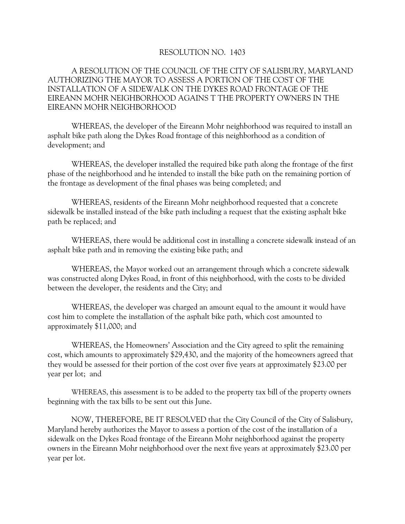## RESOLUTION NO. 1403

## A RESOLUTION OF THE COUNCIL OF THE CITY OF SALISBURY, MARYLAND AUTHORIZING THE MAYOR TO ASSESS A PORTION OF THE COST OF THE INSTALLATION OF A SIDEWALK ON THE DYKES ROAD FRONTAGE OF THE EIREANN MOHR NEIGHBORHOOD AGAINS T THE PROPERTY OWNERS IN THE EIREANN MOHR NEIGHBORHOOD

WHEREAS, the developer of the Eireann Mohr neighborhood was required to install an asphalt bike path along the Dykes Road frontage of this neighborhood as a condition of development; and

WHEREAS, the developer installed the required bike path along the frontage of the first phase of the neighborhood and he intended to install the bike path on the remaining portion of the frontage as development of the final phases was being completed; and

WHEREAS, residents of the Eireann Mohr neighborhood requested that a concrete sidewalk be installed instead of the bike path including a request that the existing asphalt bike path be replaced; and

WHEREAS, there would be additional cost in installing a concrete sidewalk instead of an asphalt bike path and in removing the existing bike path; and

WHEREAS, the Mayor worked out an arrangement through which a concrete sidewalk was constructed along Dykes Road, in front of this neighborhood, with the costs to be divided between the developer, the residents and the City; and

WHEREAS, the developer was charged an amount equal to the amount it would have cost him to complete the installation of the asphalt bike path, which cost amounted to approximately \$11,000; and

WHEREAS, the Homeowners' Association and the City agreed to split the remaining cost, which amounts to approximately \$29,430, and the majority of the homeowners agreed that they would be assessed for their portion of the cost over five years at approximately \$23.00 per year per lot; and

WHEREAS, this assessment is to be added to the property tax bill of the property owners beginning with the tax bills to be sent out this June.

NOW, THEREFORE, BE IT RESOLVED that the City Council of the City of Salisbury, Maryland hereby authorizes the Mayor to assess a portion of the cost of the installation of a sidewalk on the Dykes Road frontage of the Eireann Mohr neighborhood against the property owners in the Eireann Mohr neighborhood over the next five years at approximately \$23.00 per year per lot.